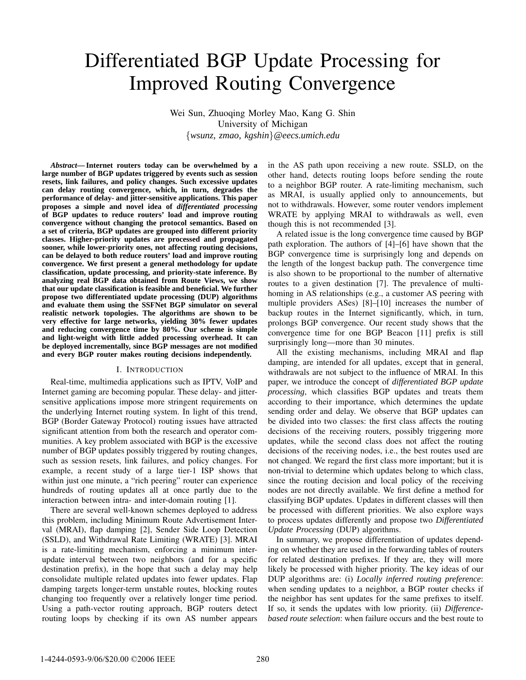# Differentiated BGP Update Processing for Improved Routing Convergence

Wei Sun, Zhuoqing Morley Mao, Kang G. Shin University of Michigan {*wsunz, zmao, kgshin*}*@eecs.umich.edu*

*Abstract***—Internet routers today can be overwhelmed by a large number of BGP updates triggered by events such as session resets, link failures, and policy changes. Such excessive updates can delay routing convergence, which, in turn, degrades the performance of delay- and jitter-sensitive applications. This paper proposes a simple and novel idea of** *differentiated processing* **of BGP updates to reduce routers' load and improve routing convergence without changing the protocol semantics. Based on a set of criteria, BGP updates are grouped into different priority classes. Higher-priority updates are processed and propagated sooner, while lower-priority ones, not affecting routing decisions, can be delayed to both reduce routers' load and improve routing convergence. We first present a general methodology for update classification, update processing, and priority-state inference. By analyzing real BGP data obtained from Route Views, we show that our update classification is feasible and beneficial. We further propose two differentiated update processing (DUP) algorithms and evaluate them using the SSFNet BGP simulator on several realistic network topologies. The algorithms are shown to be very effective for large networks, yielding 30% fewer updates and reducing convergence time by 80%. Our scheme is simple and light-weight with little added processing overhead. It can be deployed incrementally, since BGP messages are not modified and every BGP router makes routing decisions independently.**

# I. INTRODUCTION

Real-time, multimedia applications such as IPTV, VoIP and Internet gaming are becoming popular. These delay- and jittersensitive applications impose more stringent requirements on the underlying Internet routing system. In light of this trend, BGP (Border Gateway Protocol) routing issues have attracted significant attention from both the research and operator communities. A key problem associated with BGP is the excessive number of BGP updates possibly triggered by routing changes, such as session resets, link failures, and policy changes. For example, a recent study of a large tier-1 ISP shows that within just one minute, a "rich peering" router can experience hundreds of routing updates all at once partly due to the interaction between intra- and inter-domain routing [1].

There are several well-known schemes deployed to address this problem, including Minimum Route Advertisement Interval (MRAI), flap damping [2], Sender Side Loop Detection (SSLD), and Withdrawal Rate Limiting (WRATE) [3]. MRAI is a rate-limiting mechanism, enforcing a minimum interupdate interval between two neighbors (and for a specific destination prefix), in the hope that such a delay may help consolidate multiple related updates into fewer updates. Flap damping targets longer-term unstable routes, blocking routes changing too frequently over a relatively longer time period. Using a path-vector routing approach, BGP routers detect routing loops by checking if its own AS number appears in the AS path upon receiving a new route. SSLD, on the other hand, detects routing loops before sending the route to a neighbor BGP router. A rate-limiting mechanism, such as MRAI, is usually applied only to announcements, but not to withdrawals. However, some router vendors implement WRATE by applying MRAI to withdrawals as well, even though this is not recommended [3].

A related issue is the long convergence time caused by BGP path exploration. The authors of [4]–[6] have shown that the BGP convergence time is surprisingly long and depends on the length of the longest backup path. The convergence time is also shown to be proportional to the number of alternative routes to a given destination [7]. The prevalence of multihoming in AS relationships (e.g., a customer AS peering with multiple providers ASes) [8]–[10] increases the number of backup routes in the Internet significantly, which, in turn, prolongs BGP convergence. Our recent study shows that the convergence time for one BGP Beacon [11] prefix is still surprisingly long—more than 30 minutes.

All the existing mechanisms, including MRAI and flap damping, are intended for all updates, except that in general, withdrawals are not subject to the influence of MRAI. In this paper, we introduce the concept of *differentiated BGP update processing*, which classifies BGP updates and treats them according to their importance, which determines the update sending order and delay. We observe that BGP updates can be divided into two classes: the first class affects the routing decisions of the receiving routers, possibly triggering more updates, while the second class does not affect the routing decisions of the receiving nodes, i.e., the best routes used are not changed. We regard the first class more important; but it is non-trivial to determine which updates belong to which class, since the routing decision and local policy of the receiving nodes are not directly available. We first define a method for classifying BGP updates. Updates in different classes will then be processed with different priorities. We also explore ways to process updates differently and propose two *Differentiated Update Processing* (DUP) algorithms.

In summary, we propose differentiation of updates depending on whether they are used in the forwarding tables of routers for related destination prefixes. If they are, they will more likely be processed with higher priority. The key ideas of our DUP algorithms are: (i) *Locally inferred routing preference*: when sending updates to a neighbor, a BGP router checks if the neighbor has sent updates for the same prefixes to itself. If so, it sends the updates with low priority. (ii) *Differencebased route selection*: when failure occurs and the best route to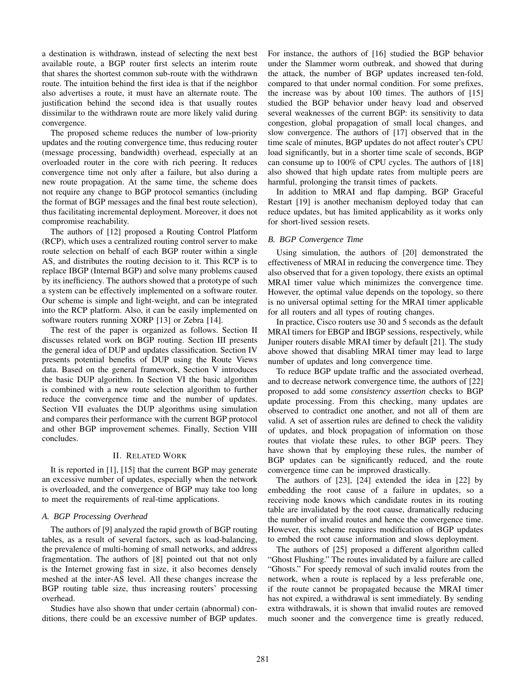a destination is withdrawn, instead of selecting the next best available route, a BGP router first selects an interim route that shares the shortest common sub-route with the withdrawn route. The intuition behind the first idea is that if the neighbor also advertises a route, it must have an alternate route. The justification behind the second idea is that usually routes dissimilar to the withdrawn route are more likely valid during convergence.

The proposed scheme reduces the number of low-priority updates and the routing convergence time, thus reducing router (message processing, bandwidth) overhead, especially at an overloaded router in the core with rich peering. It reduces convergence time not only after a failure, but also during a new route propagation. At the same time, the scheme does not require any change to BGP protocol semantics (including the format of BGP messages and the final best route selection), thus facilitating incremental deployment. Moreover, it does not compromise reachability.

The authors of [12] proposed a Routing Control Platform (RCP), which uses a centralized routing control server to make route selection on behalf of each BGP router within a single AS, and distributes the routing decision to it. This RCP is to replace IBGP (Internal BGP) and solve many problems caused by its inefficiency. The authors showed that a prototype of such a system can be effectively implemented on a software router. Our scheme is simple and light-weight, and can be integrated into the RCP platform. Also, it can be easily implemented on software routers running XORP [13] or Zebra [14].

The rest of the paper is organized as follows. Section II discusses related work on BGP routing. Section III presents the general idea of DUP and updates classification. Section IV presents potential benefits of DUP using the Route Views data. Based on the general framework, Section V introduces the basic DUP algorithm. In Section VI the basic algorithm is combined with a new route selection algorithm to further reduce the convergence time and the number of updates. Section VII evaluates the DUP algorithms using simulation and compares their performance with the current BGP protocol and other BGP improvement schemes. Finally, Section VIII concludes.

# II. RELATED WORK

It is reported in [1], [15] that the current BGP may generate an excessive number of updates, especially when the network is overloaded, and the convergence of BGP may take too long to meet the requirements of real-time applications.

#### *A. BGP Processing Overhead*

The authors of [9] analyzed the rapid growth of BGP routing tables, as a result of several factors, such as load-balancing, the prevalence of multi-homing of small networks, and address fragmentation. The authors of [8] pointed out that not only is the Internet growing fast in size, it also becomes densely meshed at the inter-AS level. All these changes increase the BGP routing table size, thus increasing routers' processing overhead.

Studies have also shown that under certain (abnormal) conditions, there could be an excessive number of BGP updates.

For instance, the authors of [16] studied the BGP behavior under the Slammer worm outbreak, and showed that during the attack, the number of BGP updates increased ten-fold, compared to that under normal condition. For some prefixes, the increase was by about 100 times. The authors of [15] studied the BGP behavior under heavy load and observed several weaknesses of the current BGP: its sensitivity to data congestion, global propagation of small local changes, and slow convergence. The authors of [17] observed that in the time scale of minutes, BGP updates do not affect router's CPU load significantly, but in a shorter time scale of seconds, BGP can consume up to 100% of CPU cycles. The authors of [18] also showed that high update rates from multiple peers are harmful, prolonging the transit times of packets.

In addition to MRAI and flap damping, BGP Graceful Restart [19] is another mechanism deployed today that can reduce updates, but has limited applicability as it works only for short-lived session resets.

#### *B. BGP Convergence Time*

Using simulation, the authors of [20] demonstrated the effectiveness of MRAI in reducing the convergence time. They also observed that for a given topology, there exists an optimal MRAI timer value which minimizes the convergence time. However, the optimal value depends on the topology, so there is no universal optimal setting for the MRAI timer applicable for all routers and all types of routing changes.

In practice, Cisco routers use 30 and 5 seconds as the default MRAI timers for EBGP and IBGP sessions, respectively, while Juniper routers disable MRAI timer by default [21]. The study above showed that disabling MRAI timer may lead to large number of updates and long convergence time.

To reduce BGP update traffic and the associated overhead, and to decrease network convergence time, the authors of [22] proposed to add some *consistency assertion* checks to BGP update processing. From this checking, many updates are observed to contradict one another, and not all of them are valid. A set of assertion rules are defined to check the validity of updates, and block propagation of information on those routes that violate these rules, to other BGP peers. They have shown that by employing these rules, the number of BGP updates can be significantly reduced, and the route convergence time can be improved drastically.

The authors of [23], [24] extended the idea in [22] by embedding the root cause of a failure in updates, so a receiving node knows which candidate routes in its routing table are invalidated by the root cause, dramatically reducing the number of invalid routes and hence the convergence time. However, this scheme requires modification of BGP updates to embed the root cause information and slows deployment.

The authors of [25] proposed a different algorithm called "Ghost Flushing." The routes invalidated by a failure are called "Ghosts." For speedy removal of such invalid routes from the network, when a route is replaced by a less preferable one, if the route cannot be propagated because the MRAI timer has not expired, a withdrawal is sent immediately. By sending extra withdrawals, it is shown that invalid routes are removed much sooner and the convergence time is greatly reduced,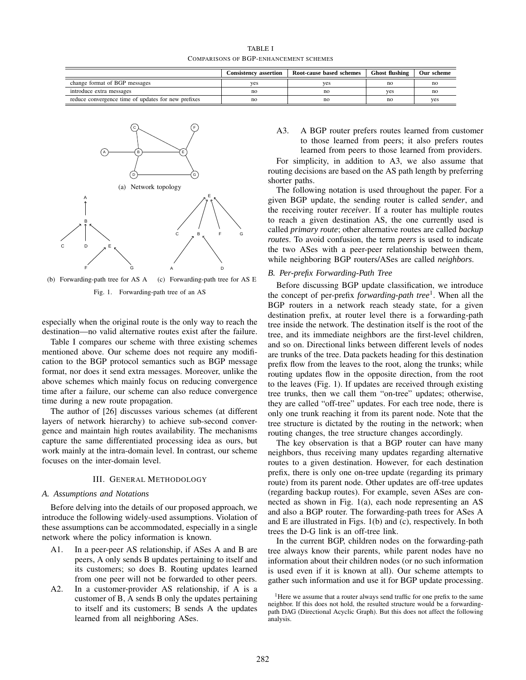TABLE I COMPARISONS OF BGP-ENHANCEMENT SCHEMES

|                                                     | <b>Consistency assertion</b> | Root-cause based schemes | <b>Ghost flushing</b> | Our scheme |
|-----------------------------------------------------|------------------------------|--------------------------|-----------------------|------------|
| change format of BGP messages                       | yes                          | yes                      | no                    | no         |
| introduce extra messages                            | no                           | no                       | yes                   | no         |
| reduce convergence time of updates for new prefixes | no                           | no                       | no                    | <b>ves</b> |



(b) Forwarding-path tree for AS A (c) Forwarding-path tree for AS E Fig. 1. Forwarding-path tree of an AS

especially when the original route is the only way to reach the destination—no valid alternative routes exist after the failure.

Table I compares our scheme with three existing schemes mentioned above. Our scheme does not require any modification to the BGP protocol semantics such as BGP message format, nor does it send extra messages. Moreover, unlike the above schemes which mainly focus on reducing convergence time after a failure, our scheme can also reduce convergence time during a new route propagation.

The author of [26] discusses various schemes (at different layers of network hierarchy) to achieve sub-second convergence and maintain high routes availability. The mechanisms capture the same differentiated processing idea as ours, but work mainly at the intra-domain level. In contrast, our scheme focuses on the inter-domain level.

# III. GENERAL METHODOLOGY

#### *A. Assumptions and Notations*

Before delving into the details of our proposed approach, we introduce the following widely-used assumptions. Violation of these assumptions can be accommodated, especially in a single network where the policy information is known.

- A1. In a peer-peer AS relationship, if ASes A and B are peers, A only sends B updates pertaining to itself and its customers; so does B. Routing updates learned from one peer will not be forwarded to other peers.
- A2. In a customer-provider AS relationship, if A is a customer of B, A sends B only the updates pertaining to itself and its customers; B sends A the updates learned from all neighboring ASes.

A3. A BGP router prefers routes learned from customer to those learned from peers; it also prefers routes learned from peers to those learned from providers. For simplicity, in addition to A3, we also assume that routing decisions are based on the AS path length by preferring

shorter paths. The following notation is used throughout the paper. For a given BGP update, the sending router is called *sender*, and the receiving router *receiver*. If a router has multiple routes to reach a given destination AS, the one currently used is called *primary route*; other alternative routes are called *backup routes*. To avoid confusion, the term *peers* is used to indicate the two ASes with a peer-peer relationship between them, while neighboring BGP routers/ASes are called *neighbors*.

#### *B. Per-prefix Forwarding-Path Tree*

Before discussing BGP update classification, we introduce the concept of per-prefix *forwarding-path tree*<sup>1</sup> . When all the BGP routers in a network reach steady state, for a given destination prefix, at router level there is a forwarding-path tree inside the network. The destination itself is the root of the tree, and its immediate neighbors are the first-level children, and so on. Directional links between different levels of nodes are trunks of the tree. Data packets heading for this destination prefix flow from the leaves to the root, along the trunks; while routing updates flow in the opposite direction, from the root to the leaves (Fig. 1). If updates are received through existing tree trunks, then we call them "on-tree" updates; otherwise, they are called "off-tree" updates. For each tree node, there is only one trunk reaching it from its parent node. Note that the tree structure is dictated by the routing in the network; when routing changes, the tree structure changes accordingly.

The key observation is that a BGP router can have many neighbors, thus receiving many updates regarding alternative routes to a given destination. However, for each destination prefix, there is only one on-tree update (regarding its primary route) from its parent node. Other updates are off-tree updates (regarding backup routes). For example, seven ASes are connected as shown in Fig. 1(a), each node representing an AS and also a BGP router. The forwarding-path trees for ASes A and E are illustrated in Figs. 1(b) and (c), respectively. In both trees the D-G link is an off-tree link.

In the current BGP, children nodes on the forwarding-path tree always know their parents, while parent nodes have no information about their children nodes (or no such information is used even if it is known at all). Our scheme attempts to gather such information and use it for BGP update processing.

<sup>&</sup>lt;sup>1</sup>Here we assume that a router always send traffic for one prefix to the same neighbor. If this does not hold, the resulted structure would be a forwardingpath DAG (Directional Acyclic Graph). But this does not affect the following analysis.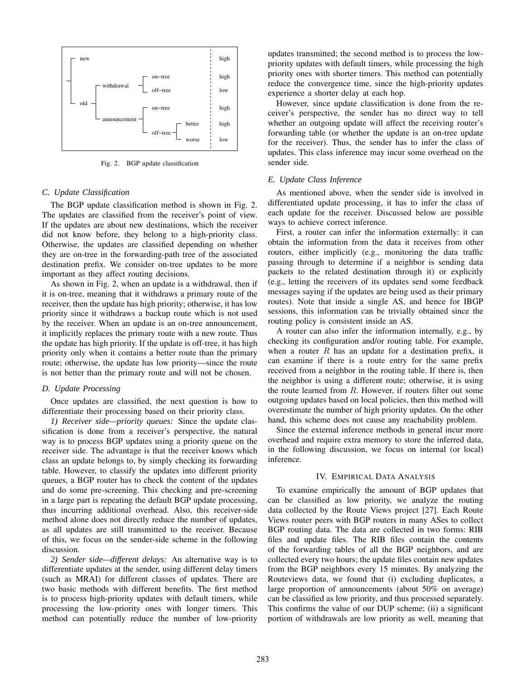

Fig. 2. BGP update classification

#### *C. Update Classification*

The BGP update classification method is shown in Fig. 2. The updates are classified from the receiver's point of view. If the updates are about new destinations, which the receiver did not know before, they belong to a high-priority class. Otherwise, the updates are classified depending on whether they are on-tree in the forwarding-path tree of the associated destination prefix. We consider on-tree updates to be more important as they affect routing decisions.

As shown in Fig. 2, when an update is a withdrawal, then if it is on-tree, meaning that it withdraws a primary route of the receiver, then the update has high priority; otherwise, it has low priority since it withdraws a backup route which is not used by the receiver. When an update is an on-tree announcement, it implicitly replaces the primary route with a new route. Thus the update has high priority. If the update is off-tree, it has high priority only when it contains a better route than the primary route; otherwise, the update has low priority—since the route is not better than the primary route and will not be chosen.

#### *D. Update Processing*

Once updates are classified, the next question is how to differentiate their processing based on their priority class.

*1) Receiver side—priority queues:* Since the update classification is done from a receiver's perspective, the natural way is to process BGP updates using a priority queue on the receiver side. The advantage is that the receiver knows which class an update belongs to, by simply checking its forwarding table. However, to classify the updates into different priority queues, a BGP router has to check the content of the updates and do some pre-screening. This checking and pre-screening in a large part is repeating the default BGP update processing, thus incurring additional overhead. Also, this receiver-side method alone does not directly reduce the number of updates, as all updates are still transmitted to the receiver. Because of this, we focus on the sender-side scheme in the following discussion.

*2) Sender side—different delays:* An alternative way is to differentiate updates at the sender, using different delay timers (such as MRAI) for different classes of updates. There are two basic methods with different benefits. The first method is to process high-priority updates with default timers, while processing the low-priority ones with longer timers. This method can potentially reduce the number of low-priority

updates transmitted; the second method is to process the lowpriority updates with default timers, while processing the high priority ones with shorter timers. This method can potentially reduce the convergence time, since the high-priority updates experience a shorter delay at each hop.

However, since update classification is done from the receiver's perspective, the sender has no direct way to tell whether an outgoing update will affect the receiving router's forwarding table (or whether the update is an on-tree update for the receiver). Thus, the sender has to infer the class of updates. This class inference may incur some overhead on the sender side.

# *E. Update Class Inference*

As mentioned above, when the sender side is involved in differentiated update processing, it has to infer the class of each update for the receiver. Discussed below are possible ways to achieve correct inference.

First, a router can infer the information externally: it can obtain the information from the data it receives from other routers, either implicitly (e.g., monitoring the data traffic passing through to determine if a neighbor is sending data packets to the related destination through it) or explicitly (e.g., letting the receivers of its updates send some feedback messages saying if the updates are being used as their primary routes). Note that inside a single AS, and hence for IBGP sessions, this information can be trivially obtained since the routing policy is consistent inside an AS.

A router can also infer the information internally, e.g., by checking its configuration and/or routing table. For example, when a router  $R$  has an update for a destination prefix, it can examine if there is a route entry for the same prefix received from a neighbor in the routing table. If there is, then the neighbor is using a different route; otherwise, it is using the route learned from  $R$ . However, if routers filter out some outgoing updates based on local policies, then this method will overestimate the number of high priority updates. On the other hand, this scheme does not cause any reachability problem.

Since the external inference methods in general incur more overhead and require extra memory to store the inferred data, in the following discussion, we focus on internal (or local) inference.

# IV. EMPIRICAL DATA ANALYSIS

To examine empirically the amount of BGP updates that can be classified as low priority, we analyze the routing data collected by the Route Views project [27]. Each Route Views router peers with BGP routers in many ASes to collect BGP routing data. The data are collected in two forms: RIB files and update files. The RIB files contain the contents of the forwarding tables of all the BGP neighbors, and are collected every two hours; the update files contain new updates from the BGP neighbors every 15 minutes. By analyzing the Routeviews data, we found that (i) excluding duplicates, a large proportion of announcements (about 50% on average) can be classified as low priority, and thus processed separately. This confirms the value of our DUP scheme; (ii) a significant portion of withdrawals are low priority as well, meaning that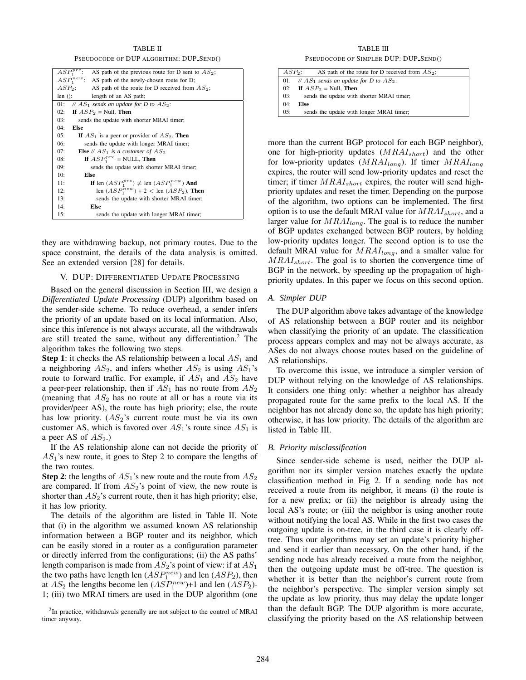TABLE II PSEUDOCODE OF DUP ALGORITHM: DUP SEND()

| $ASP_1^{pre}$ : AS path of the previous route for D sent to $AS_2$ ; |
|----------------------------------------------------------------------|
| $ASP_1^{new}$ : AS path of the newly-chosen route for D;             |
| $ASP_2$ : AS path of the route for D received from $AS_2$ ;          |
| $len()$ :<br>length of an AS path;                                   |
| // $AS_1$ sends an update for D to $AS_2$ :<br>01:                   |
| If $ASP_2 = Null$ , Then<br>02:                                      |
| 03:<br>sends the update with shorter MRAI timer;                     |
| 04:<br><b>Else</b>                                                   |
| 05:<br>If $AS_1$ is a peer or provider of $AS_2$ , Then              |
| 06:<br>sends the update with longer MRAI timer;                      |
| 07:<br><b>Else</b> // $AS_1$ is a customer of $AS_2$                 |
| If $ASP_1^{pre}$ = NULL, Then<br>08:                                 |
| 09:<br>sends the update with shorter MRAI timer;                     |
| 10:<br>Else                                                          |
| If len $(ASP_1^{pre}) \neq$ len $(ASP_1^{new})$ And<br>11:           |
| len $(ASP_1^{new})$ + 2 < len $(ASP_2)$ , Then<br>12:                |
| 13:<br>sends the update with shorter MRAI timer;                     |
| 14:<br>Else                                                          |
| 15:<br>sends the update with longer MRAI timer;                      |

they are withdrawing backup, not primary routes. Due to the space constraint, the details of the data analysis is omitted. See an extended version [28] for details.

## V. DUP: DIFFERENTIATED UPDATE PROCESSING

Based on the general discussion in Section III, we design a *Differentiated Update Processing* (DUP) algorithm based on the sender-side scheme. To reduce overhead, a sender infers the priority of an update based on its local information. Also, since this inference is not always accurate, all the withdrawals are still treated the same, without any differentiation.<sup>2</sup> The algorithm takes the following two steps.

**Step 1**: it checks the AS relationship between a local  $AS_1$  and a neighboring  $AS_2$ , and infers whether  $AS_2$  is using  $AS_1$ 's route to forward traffic. For example, if  $AS_1$  and  $AS_2$  have a peer-peer relationship, then if  $AS_1$  has no route from  $AS_2$ (meaning that  $AS_2$  has no route at all or has a route via its provider/peer AS), the route has high priority; else, the route has low priority.  $(AS_2)$ 's current route must be via its own customer AS, which is favored over  $AS_1$ 's route since  $AS_1$  is a peer AS of  $AS_2$ .)

If the AS relationship alone can not decide the priority of  $AS_1$ 's new route, it goes to Step 2 to compare the lengths of the two routes.

**Step 2:** the lengths of  $AS_1$ 's new route and the route from  $AS_2$ are compared. If from  $AS_2$ 's point of view, the new route is shorter than  $AS_2$ 's current route, then it has high priority; else, it has low priority.

The details of the algorithm are listed in Table II. Note that (i) in the algorithm we assumed known AS relationship information between a BGP router and its neighbor, which can be easily stored in a router as a configuration parameter or directly inferred from the configurations; (ii) the AS paths' length comparison is made from  $AS_2$ 's point of view: if at  $AS_1$ the two paths have length len  $(ASP_1^{new})$  and len  $(ASP_2)$ , then at  $AS_2$  the lengths become len  $(ASP_1^{new})+1$  and len  $(ASP_2)$ -1; (iii) two MRAI timers are used in the DUP algorithm (one

 $2$ In practice, withdrawals generally are not subject to the control of MRAI timer anyway.

TABLE III PSEUDOCODE OF SIMPLER DUP: DUP SEND()

|     | $ASP_2$ :<br>AS path of the route for D received from $AS_2$ ; |
|-----|----------------------------------------------------------------|
|     | 01: // $AS_1$ sends an update for D to $AS_2$ :                |
|     | 02: If $ASP_2$ = Null, Then                                    |
| 03: | sends the update with shorter MRAI timer;                      |
| 04: | Else                                                           |
| 05: | sends the update with longer MRAI timer;                       |

more than the current BGP protocol for each BGP neighbor), one for high-priority updates  $(MRAI_{short})$  and the other for low-priority updates  $(MRAI_{long})$ . If timer  $MRAI_{long}$ expires, the router will send low-priority updates and reset the timer; if timer  $MRAI_{short}$  expires, the router will send highpriority updates and reset the timer. Depending on the purpose of the algorithm, two options can be implemented. The first option is to use the default MRAI value for  $MRAI_{short}$ , and a larger value for  $MRAI_{long}$ . The goal is to reduce the number of BGP updates exchanged between BGP routers, by holding low-priority updates longer. The second option is to use the default MRAI value for  $MRAI_{long}$ , and a smaller value for  $MRAI_{short}$ . The goal is to shorten the convergence time of BGP in the network, by speeding up the propagation of highpriority updates. In this paper we focus on this second option.

## *A. Simpler DUP*

The DUP algorithm above takes advantage of the knowledge of AS relationship between a BGP router and its neighbor when classifying the priority of an update. The classification process appears complex and may not be always accurate, as ASes do not always choose routes based on the guideline of AS relationships.

To overcome this issue, we introduce a simpler version of DUP without relying on the knowledge of AS relationships. It considers one thing only: whether a neighbor has already propagated route for the same prefix to the local AS. If the neighbor has not already done so, the update has high priority; otherwise, it has low priority. The details of the algorithm are listed in Table III.

# *B. Priority misclassification*

Since sender-side scheme is used, neither the DUP algorithm nor its simpler version matches exactly the update classification method in Fig 2. If a sending node has not received a route from its neighbor, it means (i) the route is for a new prefix; or (ii) the neighbor is already using the local AS's route; or (iii) the neighbor is using another route without notifying the local AS. While in the first two cases the outgoing update is on-tree, in the third case it is clearly offtree. Thus our algorithms may set an update's priority higher and send it earlier than necessary. On the other hand, if the sending node has already received a route from the neighbor, then the outgoing update must be off-tree. The question is whether it is better than the neighbor's current route from the neighbor's perspective. The simpler version simply set the update as low priority, thus may delay the update longer than the default BGP. The DUP algorithm is more accurate, classifying the priority based on the AS relationship between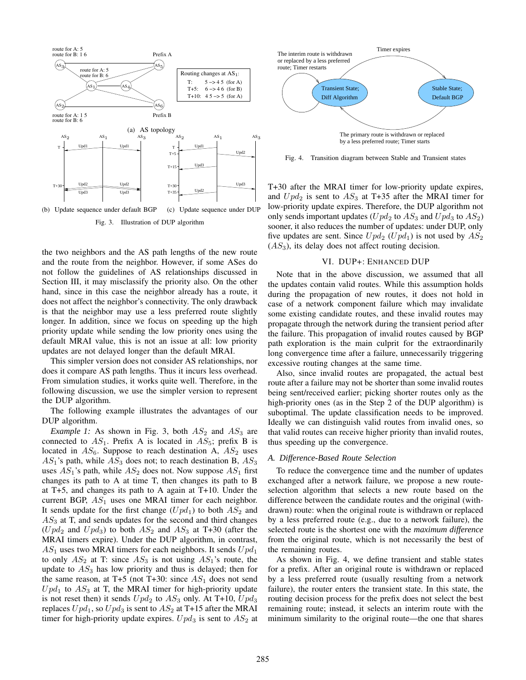

Fig. 3. Illustration of DUP algorithm

the two neighbors and the AS path lengths of the new route and the route from the neighbor. However, if some ASes do not follow the guidelines of AS relationships discussed in Section III, it may misclassify the priority also. On the other hand, since in this case the neighbor already has a route, it does not affect the neighbor's connectivity. The only drawback is that the neighbor may use a less preferred route slightly longer. In addition, since we focus on speeding up the high priority update while sending the low priority ones using the default MRAI value, this is not an issue at all: low priority updates are not delayed longer than the default MRAI.

This simpler version does not consider AS relationships, nor does it compare AS path lengths. Thus it incurs less overhead. From simulation studies, it works quite well. Therefore, in the following discussion, we use the simpler version to represent the DUP algorithm.

The following example illustrates the advantages of our DUP algorithm.

*Example 1:* As shown in Fig. 3, both  $AS_2$  and  $AS_3$  are connected to  $AS_1$ . Prefix A is located in  $AS_5$ ; prefix B is located in  $AS_6$ . Suppose to reach destination A,  $AS_2$  uses  $AS_1$ 's path, while  $AS_3$  does not; to reach destination B,  $AS_3$ uses  $AS_1$ 's path, while  $AS_2$  does not. Now suppose  $AS_1$  first changes its path to A at time T, then changes its path to B at T+5, and changes its path to A again at T+10. Under the current BGP,  $AS_1$  uses one MRAI timer for each neighbor. It sends update for the first change  $(Upd_1)$  to both  $AS_2$  and  $AS<sub>3</sub>$  at T, and sends updates for the second and third changes  $(Upd_2$  and  $Upd_3$ ) to both  $AS_2$  and  $AS_3$  at T+30 (after the MRAI timers expire). Under the DUP algorithm, in contrast,  $AS_1$  uses two MRAI timers for each neighbors. It sends  $Upd_1$ to only  $AS_2$  at T: since  $AS_3$  is not using  $AS_1$ 's route, the update to  $AS<sub>3</sub>$  has low priority and thus is delayed; then for the same reason, at T+5 (not T+30: since  $AS_1$  does not send  $Upd_1$  to  $AS_3$  at T, the MRAI timer for high-priority update is not reset then) it sends  $Upd_2$  to  $AS_3$  only. At T+10,  $Upd_3$ replaces  $Upd_1$ , so  $Upd_3$  is sent to  $AS_2$  at T+15 after the MRAI timer for high-priority update expires.  $Upd_3$  is sent to  $AS_2$  at



Fig. 4. Transition diagram between Stable and Transient states

T+30 after the MRAI timer for low-priority update expires, and  $Upd_2$  is sent to  $AS_3$  at T+35 after the MRAI timer for low-priority update expires. Therefore, the DUP algorithm not only sends important updates ( $Upd_2$  to  $AS_3$  and  $Upd_3$  to  $AS_2$ ) sooner, it also reduces the number of updates: under DUP, only five updates are sent. Since  $Upd_2$  ( $Upd_1$ ) is not used by  $AS_2$  $(AS<sub>3</sub>)$ , its delay does not affect routing decision.

#### VI. DUP+: ENHANCED DUP

Note that in the above discussion, we assumed that all the updates contain valid routes. While this assumption holds during the propagation of new routes, it does not hold in case of a network component failure which may invalidate some existing candidate routes, and these invalid routes may propagate through the network during the transient period after the failure. This propagation of invalid routes caused by BGP path exploration is the main culprit for the extraordinarily long convergence time after a failure, unnecessarily triggering excessive routing changes at the same time.

Also, since invalid routes are propagated, the actual best route after a failure may not be shorter than some invalid routes being sent/received earlier; picking shorter routes only as the high-priority ones (as in the Step 2 of the DUP algorithm) is suboptimal. The update classification needs to be improved. Ideally we can distinguish valid routes from invalid ones, so that valid routes can receive higher priority than invalid routes, thus speeding up the convergence.

# *A. Difference-Based Route Selection*

To reduce the convergence time and the number of updates exchanged after a network failure, we propose a new routeselection algorithm that selects a new route based on the difference between the candidate routes and the original (withdrawn) route: when the original route is withdrawn or replaced by a less preferred route (e.g., due to a network failure), the selected route is the shortest one with the *maximum difference* from the original route, which is not necessarily the best of the remaining routes.

As shown in Fig. 4, we define transient and stable states for a prefix. After an original route is withdrawn or replaced by a less preferred route (usually resulting from a network failure), the router enters the transient state. In this state, the routing decision process for the prefix does not select the best remaining route; instead, it selects an interim route with the minimum similarity to the original route—the one that shares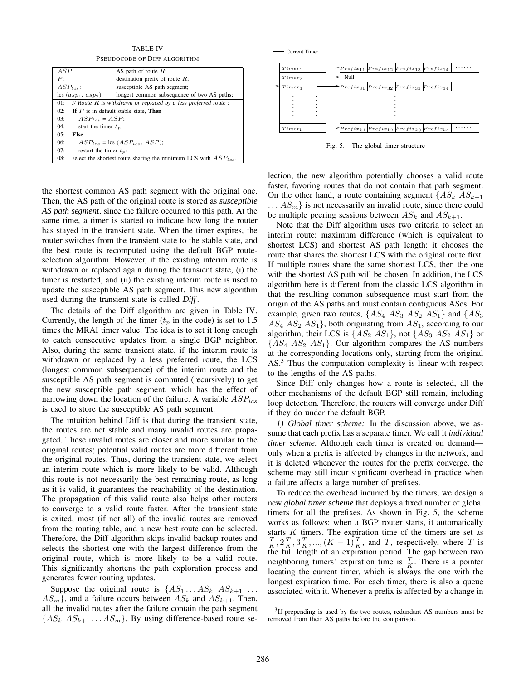TABLE IV PSEUDOCODE OF DIFF ALGORITHM

| 1 910 DOCODI OI DIII ALOONIIIM                                           |                                                                      |  |
|--------------------------------------------------------------------------|----------------------------------------------------------------------|--|
| ASP:                                                                     | AS path of route $R$ ;                                               |  |
| P:                                                                       | destination prefix of route $R$ ;                                    |  |
| $ASP_{lcs}:$                                                             | susceptible AS path segment;                                         |  |
| $\cosh (asp_1, \, asp_2)$ :                                              | longest common subsequence of two AS paths;                          |  |
| // Route $R$ is withdrawn or replaced by a less preferred route :<br>01: |                                                                      |  |
| 02:<br>If $P$ is in default stable state, Then                           |                                                                      |  |
| $ASP_{lcs} = ASP$<br>03:                                                 |                                                                      |  |
| 04:<br>start the timer $t_n$ ;                                           |                                                                      |  |
| 0.5:<br>Else                                                             |                                                                      |  |
| 06:                                                                      | $ASP_{lcs}$ = lcs $(ASP_{lcs}, ASP)$ ;                               |  |
| 07:<br>restart the timer $t_n$ ;                                         |                                                                      |  |
| 08:                                                                      | select the shortest route sharing the minimum LCS with $ASP_{lcs}$ . |  |

the shortest common AS path segment with the original one. Then, the AS path of the original route is stored as *susceptible AS path segment*, since the failure occurred to this path. At the same time, a timer is started to indicate how long the router has stayed in the transient state. When the timer expires, the router switches from the transient state to the stable state, and the best route is recomputed using the default BGP routeselection algorithm. However, if the existing interim route is withdrawn or replaced again during the transient state, (i) the timer is restarted, and (ii) the existing interim route is used to update the susceptible AS path segment. This new algorithm used during the transient state is called *Diff* .

The details of the Diff algorithm are given in Table IV. Currently, the length of the timer  $(t_p$  in the code) is set to 1.5 times the MRAI timer value. The idea is to set it long enough to catch consecutive updates from a single BGP neighbor. Also, during the same transient state, if the interim route is withdrawn or replaced by a less preferred route, the LCS (longest common subsequence) of the interim route and the susceptible AS path segment is computed (recursively) to get the new susceptible path segment, which has the effect of narrowing down the location of the failure. A variable  $ASP_{lcs}$ is used to store the susceptible AS path segment.

The intuition behind Diff is that during the transient state, the routes are not stable and many invalid routes are propagated. These invalid routes are closer and more similar to the original routes; potential valid routes are more different from the original routes. Thus, during the transient state, we select an interim route which is more likely to be valid. Although this route is not necessarily the best remaining route, as long as it is valid, it guarantees the reachability of the destination. The propagation of this valid route also helps other routers to converge to a valid route faster. After the transient state is exited, most (if not all) of the invalid routes are removed from the routing table, and a new best route can be selected. Therefore, the Diff algorithm skips invalid backup routes and selects the shortest one with the largest difference from the original route, which is more likely to be a valid route. This significantly shortens the path exploration process and generates fewer routing updates.

Suppose the original route is  $\{AS_1 \dots AS_k \, AS_{k+1} \dots \}$  $AS_m$ , and a failure occurs between  $AS_k$  and  $AS_{k+1}$ . Then, all the invalid routes after the failure contain the path segment  $\{AS_k AS_{k+1} \ldots AS_m\}$ . By using difference-based route se-



Fig. 5. The global timer structure

lection, the new algorithm potentially chooses a valid route faster, favoring routes that do not contain that path segment. On the other hand, a route containing segment  $\{AS_k AS_{k+1}\}$  $\ldots AS_m$  is not necessarily an invalid route, since there could be multiple peering sessions between  $AS_k$  and  $AS_{k+1}$ .

Note that the Diff algorithm uses two criteria to select an interim route: maximum difference (which is equivalent to shortest LCS) and shortest AS path length: it chooses the route that shares the shortest LCS with the original route first. If multiple routes share the same shortest LCS, then the one with the shortest AS path will be chosen. In addition, the LCS algorithm here is different from the classic LCS algorithm in that the resulting common subsequence must start from the origin of the AS paths and must contain contiguous ASes. For example, given two routes,  $\{AS_4 AS_3 AS_2 AS_1\}$  and  $\{AS_3$  $AS_4$   $AS_2$   $AS_1$ , both originating from  $AS_1$ , according to our algorithm, their LCS is  $\{AS_2 AS_1\}$ , not  $\{AS_3 AS_2 AS_1\}$  or  $\{AS_4 AS_2 AS_1\}$ . Our algorithm compares the AS numbers at the corresponding locations only, starting from the original AS.<sup>3</sup> Thus the computation complexity is linear with respect to the lengths of the AS paths.

Since Diff only changes how a route is selected, all the other mechanisms of the default BGP still remain, including loop detection. Therefore, the routers will converge under Diff if they do under the default BGP.

*1) Global timer scheme:* In the discussion above, we assume that each prefix has a separate timer. We call it *individual timer scheme*. Although each timer is created on demand only when a prefix is affected by changes in the network, and it is deleted whenever the routes for the prefix converge, the scheme may still incur significant overhead in practice when a failure affects a large number of prefixes.

To reduce the overhead incurred by the timers, we design a new *global timer scheme* that deploys a fixed number of global timers for all the prefixes. As shown in Fig. 5, the scheme works as follows: when a BGP router starts, it automatically starts  $K$  timers. The expiration time of the timers are set as  $\frac{T}{K}, 2\frac{T}{K}, 3\frac{T}{K}, ..., (K-1)\frac{T}{K}$ , and T, respectively, where T is the full length of an expiration period. The gap between two neighboring timers' expiration time is  $\frac{T}{K}$ . There is a pointer locating the current timer, which is always the one with the longest expiration time. For each timer, there is also a queue associated with it. Whenever a prefix is affected by a change in

 $3$ If prepending is used by the two routes, redundant AS numbers must be removed from their AS paths before the comparison.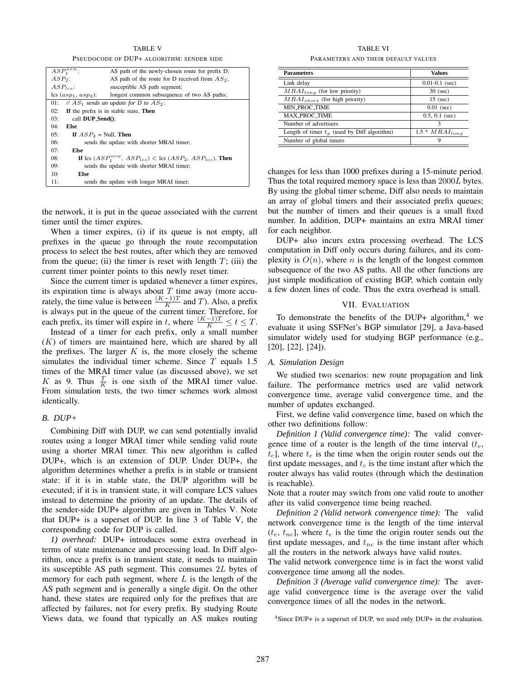TABLE V PSEUDOCODE OF DUP+ ALGORITHM: SENDER SIDE

| $ASP_1^{new}$                   | AS path of the newly-chosen route for prefix D;                   |
|---------------------------------|-------------------------------------------------------------------|
| $ASP2$ :                        | AS path of the route for D received from $AS_2$ ;                 |
| $ASP_{\text{test}}$ :           | susceptible AS path segment;                                      |
| $\text{lcs}(asp_1,asp_2)$ :     | longest common subsequence of two AS paths;                       |
| 01:                             | // $AS_1$ sends an update for D to $AS_2$ :                       |
| 02:                             | If the prefix is in stable state, Then                            |
| call $DUP$ Send $()$ :<br>03:   |                                                                   |
| 04:<br>Else                     |                                                                   |
| 05:<br>If $ASP_2 = Null$ , Then |                                                                   |
| 06:                             | sends the update with shorter MRAI timer;                         |
| 07:<br>Else                     |                                                                   |
| 08:                             | If lcs $(ASP_1^{new},ASP_{lcs}) <$ lcs $(ASP_2,ASP_{lcs})$ , Then |
| 09:                             | sends the update with shorter MRAI timer;                         |
| 10:<br>Else                     |                                                                   |
| 11:                             | sends the update with longer MRAI timer;                          |

the network, it is put in the queue associated with the current timer until the timer expires.

When a timer expires, (i) if its queue is not empty, all prefixes in the queue go through the route recomputation process to select the best routes, after which they are removed from the queue; (ii) the timer is reset with length  $T$ ; (iii) the current timer pointer points to this newly reset timer.

Since the current timer is updated whenever a timer expires, its expiration time is always about  $T$  time away (more accurately, the time value is between  $\frac{(K-1)T}{K}$  and T). Also, a prefix is always put in the queue of the current timer. Therefore, for each prefix, its timer will expire in t, where  $\frac{(K-1)T}{K} \le t \le T$ .

Instead of a timer for each prefix, only a small number  $(K)$  of timers are maintained here, which are shared by all the prefixes. The larger  $K$  is, the more closely the scheme simulates the individual timer scheme. Since  $T$  equals 1.5 times of the MRAI timer value (as discussed above), we set K as 9. Thus  $\frac{T}{K}$  is one sixth of the MRAI timer value. From simulation tests, the two timer schemes work almost identically.

## *B. DUP+*

Combining Diff with DUP, we can send potentially invalid routes using a longer MRAI timer while sending valid route using a shorter MRAI timer. This new algorithm is called DUP+, which is an extension of DUP. Under DUP+, the algorithm determines whether a prefix is in stable or transient state: if it is in stable state, the DUP algorithm will be executed; if it is in transient state, it will compare LCS values instead to determine the priority of an update. The details of the sender-side DUP+ algorithm are given in Tables V. Note that DUP+ is a superset of DUP. In line 3 of Table V, the corresponding code for DUP is called.

*1) overhead:* DUP+ introduces some extra overhead in terms of state maintenance and processing load. In Diff algorithm, once a prefix is in transient state, it needs to maintain its susceptible AS path segment. This consumes 2L bytes of memory for each path segment, where  $L$  is the length of the AS path segment and is generally a single digit. On the other hand, these states are required only for the prefixes that are affected by failures, not for every prefix. By studying Route Views data, we found that typically an AS makes routing

TABLE VI PARAMETERS AND THEIR DEFAULT VALUES

| <b>Parameters</b>                              | <b>Values</b>       |  |
|------------------------------------------------|---------------------|--|
| Link delay                                     | $0.01 - 0.1$ (sec)  |  |
| $MRAI_{long}$ (for low priority)               | $30$ (sec)          |  |
| $MRAI_{short}$ (for high priority)             | $15$ (sec)          |  |
| <b>MIN PROC TIME</b>                           | $0.01$ (sec)        |  |
| <b>MAX PROC TIME</b>                           | $0.5, 0.1$ (sec)    |  |
| Number of advertisers                          | ٦                   |  |
| Length of timer $t_p$ (used by Diff algorithm) | $1.5 * MRAI_{long}$ |  |
| Number of global timers                        | Q                   |  |

changes for less than 1000 prefixes during a 15-minute period. Thus the total required memory space is less than 2000L bytes. By using the global timer scheme, Diff also needs to maintain an array of global timers and their associated prefix queues; but the number of timers and their queues is a small fixed number. In addition, DUP+ maintains an extra MRAI timer for each neighbor.

DUP+ also incurs extra processing overhead. The LCS computation in Diff only occurs during failures, and its complexity is  $O(n)$ , where n is the length of the longest common subsequence of the two AS paths. All the other functions are just simple modification of existing BGP, which contain only a few dozen lines of code. Thus the extra overhead is small.

## VII. EVALUATION

To demonstrate the benefits of the DUP+ algorithm,<sup>4</sup> we evaluate it using SSFNet's BGP simulator [29], a Java-based simulator widely used for studying BGP performance (e.g., [20], [22], [24]).

# *A. Simulation Design*

We studied two scenarios: new route propagation and link failure. The performance metrics used are valid network convergence time, average valid convergence time, and the number of updates exchanged.

First, we define valid convergence time, based on which the other two definitions follow:

*Definition 1 (Valid convergence time):* The valid convergence time of a router is the length of the time interval  $(t_e,$  $t_c$ , where  $t_e$  is the time when the origin router sends out the first update messages, and  $t_c$  is the time instant after which the router always has valid routes (through which the destination is reachable).

Note that a router may switch from one valid route to another after its valid convergence time being reached.

*Definition 2 (Valid network convergence time):* The valid network convergence time is the length of the time interval  $(t_e, t_{nc}]$ , where  $t_e$  is the time the origin router sends out the first update messages, and  $t_{nc}$  is the time instant after which all the routers in the network always have valid routes.

The valid network convergence time is in fact the worst valid convergence time among all the nodes.

*Definition 3 (Average valid convergence time):* The average valid convergence time is the average over the valid convergence times of all the nodes in the network.

<sup>4</sup>Since DUP+ is a superset of DUP, we used only DUP+ in the evaluation.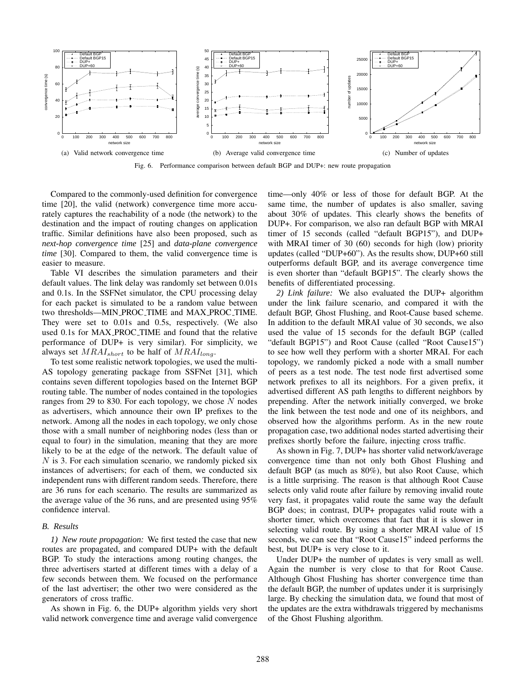

Fig. 6. Performance comparison between default BGP and DUP+: new route propagation

Compared to the commonly-used definition for convergence time [20], the valid (network) convergence time more accurately captures the reachability of a node (the network) to the destination and the impact of routing changes on application traffic. Similar definitions have also been proposed, such as *next-hop convergence time* [25] and *data-plane convergence time* [30]. Compared to them, the valid convergence time is easier to measure.

Table VI describes the simulation parameters and their default values. The link delay was randomly set between 0.01s and 0.1s. In the SSFNet simulator, the CPU processing delay for each packet is simulated to be a random value between two thresholds—MIN PROC TIME and MAX PROC TIME. They were set to 0.01s and 0.5s, respectively. (We also used 0.1s for MAX PROC TIME and found that the relative performance of DUP+ is very similar). For simplicity, we always set  $MRAI_{short}$  to be half of  $MRAI_{long}$ .

To test some realistic network topologies, we used the multi-AS topology generating package from SSFNet [31], which contains seven different topologies based on the Internet BGP routing table. The number of nodes contained in the topologies ranges from 29 to 830. For each topology, we chose  $N$  nodes as advertisers, which announce their own IP prefixes to the network. Among all the nodes in each topology, we only chose those with a small number of neighboring nodes (less than or equal to four) in the simulation, meaning that they are more likely to be at the edge of the network. The default value of  $N$  is 3. For each simulation scenario, we randomly picked six instances of advertisers; for each of them, we conducted six independent runs with different random seeds. Therefore, there are 36 runs for each scenario. The results are summarized as the average value of the 36 runs, and are presented using 95% confidence interval.

#### *B. Results*

*1) New route propagation:* We first tested the case that new routes are propagated, and compared DUP+ with the default BGP. To study the interactions among routing changes, the three advertisers started at different times with a delay of a few seconds between them. We focused on the performance of the last advertiser; the other two were considered as the generators of cross traffic.

As shown in Fig. 6, the DUP+ algorithm yields very short valid network convergence time and average valid convergence time—only 40% or less of those for default BGP. At the same time, the number of updates is also smaller, saving about 30% of updates. This clearly shows the benefits of DUP+. For comparison, we also ran default BGP with MRAI timer of 15 seconds (called "default BGP15"), and DUP+ with MRAI timer of 30 (60) seconds for high (low) priority updates (called "DUP+60"). As the results show, DUP+60 still outperforms default BGP, and its average convergence time is even shorter than "default BGP15". The clearly shows the benefits of differentiated processing.

*2) Link failure:* We also evaluated the DUP+ algorithm under the link failure scenario, and compared it with the default BGP, Ghost Flushing, and Root-Cause based scheme. In addition to the default MRAI value of 30 seconds, we also used the value of 15 seconds for the default BGP (called "default BGP15") and Root Cause (called "Root Cause15") to see how well they perform with a shorter MRAI. For each topology, we randomly picked a node with a small number of peers as a test node. The test node first advertised some network prefixes to all its neighbors. For a given prefix, it advertised different AS path lengths to different neighbors by prepending. After the network initially converged, we broke the link between the test node and one of its neighbors, and observed how the algorithms perform. As in the new route propagation case, two additional nodes started advertising their prefixes shortly before the failure, injecting cross traffic.

As shown in Fig. 7, DUP+ has shorter valid network/average convergence time than not only both Ghost Flushing and default BGP (as much as 80%), but also Root Cause, which is a little surprising. The reason is that although Root Cause selects only valid route after failure by removing invalid route very fast, it propagates valid route the same way the default BGP does; in contrast, DUP+ propagates valid route with a shorter timer, which overcomes that fact that it is slower in selecting valid route. By using a shorter MRAI value of 15 seconds, we can see that "Root Cause15" indeed performs the best, but DUP+ is very close to it.

Under DUP+ the number of updates is very small as well. Again the number is very close to that for Root Cause. Although Ghost Flushing has shorter convergence time than the default BGP, the number of updates under it is surprisingly large. By checking the simulation data, we found that most of the updates are the extra withdrawals triggered by mechanisms of the Ghost Flushing algorithm.